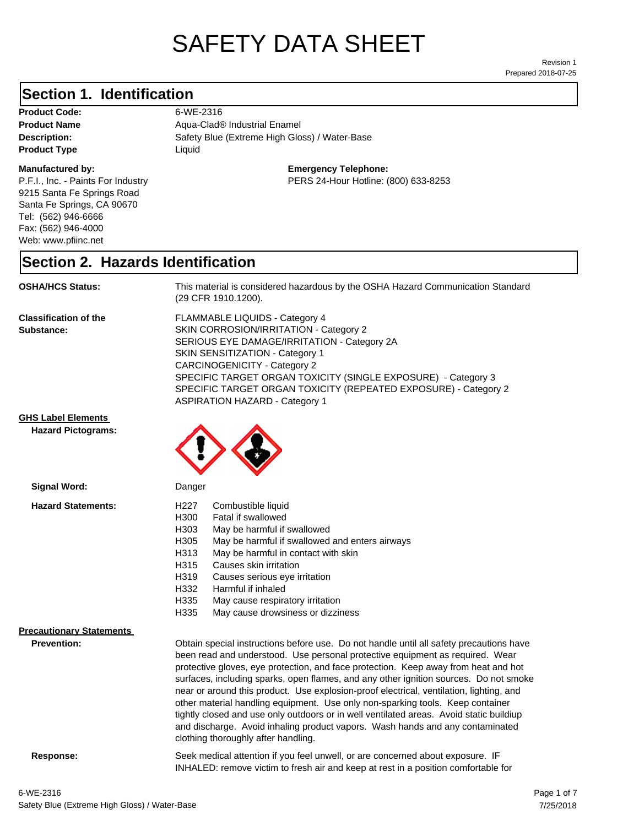# SAFETY DATA SHEET

Prepared 2018-07-25 Revision 1

#### **Section 1. Identification**

Product Code: 6-WE-2316 **Product Type Liquid Liquid** 

#### **Manufactured by:**

P.F.I., Inc. - Paints For Industry 9215 Santa Fe Springs Road Santa Fe Springs, CA 90670 Tel: (562) 946-6666 Fax: (562) 946-4000 Web: www.pfiinc.net

Description: **Netally Blue (Extreme High Gloss)** / Water-Base **Product Name** Aqua-Clad<sup>®</sup> Industrial Enamel

**Emergency Telephone:**

PERS 24-Hour Hotline: (800) 633-8253

#### **Section 2. Hazards Identification**

**OSHA/HCS Status:** This material is considered hazardous by the OSHA Hazard Communication Standard (29 CFR 1910.1200).

**Classification of the Substance:**

FLAMMABLE LIQUIDS - Category 4 SKIN CORROSION/IRRITATION - Category 2 SERIOUS EYE DAMAGE/IRRITATION - Category 2A SKIN SENSITIZATION - Category 1 CARCINOGENICITY - Category 2 SPECIFIC TARGET ORGAN TOXICITY (SINGLE EXPOSURE) - Category 3 SPECIFIC TARGET ORGAN TOXICITY (REPEATED EXPOSURE) - Category 2 ASPIRATION HAZARD - Category 1

INHALED: remove victim to fresh air and keep at rest in a position comfortable for

**GHS Label Elements**

**Hazard Pictograms:**



| Signal Word:                                          | Danger                                                                                                                                                                                                                                                                                                                                                                                                                                                                                                                                                                                                                                                                                                                                                   |
|-------------------------------------------------------|----------------------------------------------------------------------------------------------------------------------------------------------------------------------------------------------------------------------------------------------------------------------------------------------------------------------------------------------------------------------------------------------------------------------------------------------------------------------------------------------------------------------------------------------------------------------------------------------------------------------------------------------------------------------------------------------------------------------------------------------------------|
| <b>Hazard Statements:</b>                             | H227<br>Combustible liquid<br>H300<br>Fatal if swallowed<br>H303<br>May be harmful if swallowed<br>H305<br>May be harmful if swallowed and enters airways<br>May be harmful in contact with skin<br>H313<br>H315<br>Causes skin irritation<br>H319<br>Causes serious eye irritation<br>H332<br>Harmful if inhaled<br>H335<br>May cause respiratory irritation<br>H335<br>May cause drowsiness or dizziness                                                                                                                                                                                                                                                                                                                                               |
| <b>Precautionary Statements</b><br><b>Prevention:</b> | Obtain special instructions before use. Do not handle until all safety precautions have<br>been read and understood. Use personal protective equipment as required. Wear<br>protective gloves, eye protection, and face protection. Keep away from heat and hot<br>surfaces, including sparks, open flames, and any other ignition sources. Do not smoke<br>near or around this product. Use explosion-proof electrical, ventilation, lighting, and<br>other material handling equipment. Use only non-sparking tools. Keep container<br>tightly closed and use only outdoors or in well ventilated areas. Avoid static buildiup<br>and discharge. Avoid inhaling product vapors. Wash hands and any contaminated<br>clothing thoroughly after handling. |
| Response:                                             | Seek medical attention if you feel unwell, or are concerned about exposure. IF                                                                                                                                                                                                                                                                                                                                                                                                                                                                                                                                                                                                                                                                           |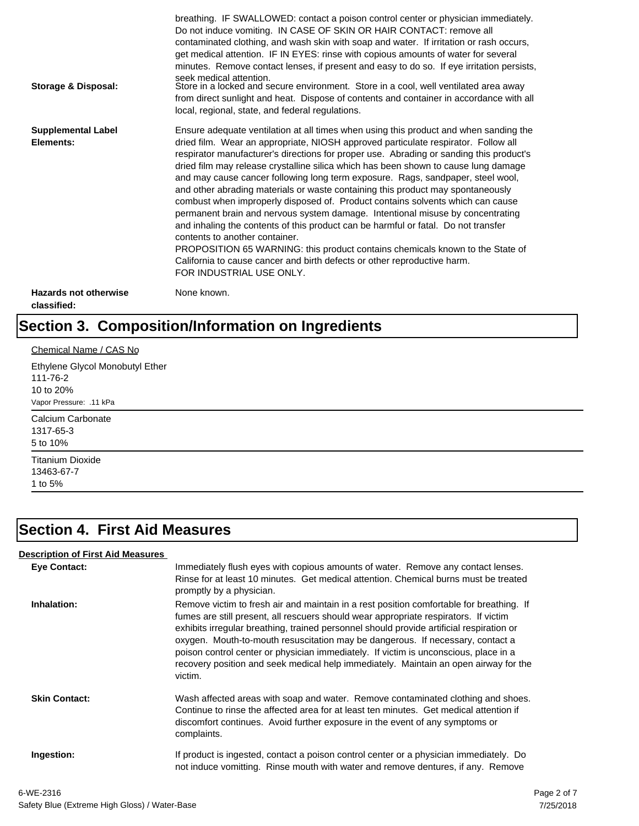| Storage & Disposal:                         | breathing. IF SWALLOWED: contact a poison control center or physician immediately.<br>Do not induce vomiting. IN CASE OF SKIN OR HAIR CONTACT: remove all<br>contaminated clothing, and wash skin with soap and water. If irritation or rash occurs,<br>get medical attention. IF IN EYES: rinse with copious amounts of water for several<br>minutes. Remove contact lenses, if present and easy to do so. If eye irritation persists,<br>seek medical attention.<br>Store in a locked and secure environment. Store in a cool, well ventilated area away<br>from direct sunlight and heat. Dispose of contents and container in accordance with all<br>local, regional, state, and federal regulations.                                                                                                                                                                                                                                                                                                                |
|---------------------------------------------|--------------------------------------------------------------------------------------------------------------------------------------------------------------------------------------------------------------------------------------------------------------------------------------------------------------------------------------------------------------------------------------------------------------------------------------------------------------------------------------------------------------------------------------------------------------------------------------------------------------------------------------------------------------------------------------------------------------------------------------------------------------------------------------------------------------------------------------------------------------------------------------------------------------------------------------------------------------------------------------------------------------------------|
| <b>Supplemental Label</b><br>Elements:      | Ensure adequate ventilation at all times when using this product and when sanding the<br>dried film. Wear an appropriate, NIOSH approved particulate respirator. Follow all<br>respirator manufacturer's directions for proper use. Abrading or sanding this product's<br>dried film may release crystalline silica which has been shown to cause lung damage<br>and may cause cancer following long term exposure. Rags, sandpaper, steel wool,<br>and other abrading materials or waste containing this product may spontaneously<br>combust when improperly disposed of. Product contains solvents which can cause<br>permanent brain and nervous system damage. Intentional misuse by concentrating<br>and inhaling the contents of this product can be harmful or fatal. Do not transfer<br>contents to another container.<br>PROPOSITION 65 WARNING: this product contains chemicals known to the State of<br>California to cause cancer and birth defects or other reproductive harm.<br>FOR INDUSTRIAL USE ONLY. |
| <b>Hazards not otherwise</b><br>classified: | None known.                                                                                                                                                                                                                                                                                                                                                                                                                                                                                                                                                                                                                                                                                                                                                                                                                                                                                                                                                                                                              |

# **Section 3. Composition/Information on Ingredients**

| Chemical Name / CAS No                      |  |  |
|---------------------------------------------|--|--|
| Ethylene Glycol Monobutyl Ether<br>111-76-2 |  |  |
| 10 to 20%                                   |  |  |
| Vapor Pressure: .11 kPa                     |  |  |
| Calcium Carbonate                           |  |  |
| 1317-65-3                                   |  |  |
| 5 to 10%                                    |  |  |
| <b>Titanium Dioxide</b>                     |  |  |
| 13463-67-7                                  |  |  |
| 1 to 5%                                     |  |  |

#### **Section 4. First Aid Measures**

#### **Description of First Aid Measures**

| <b>Eye Contact:</b>  | Immediately flush eyes with copious amounts of water. Remove any contact lenses.<br>Rinse for at least 10 minutes. Get medical attention. Chemical burns must be treated<br>promptly by a physician.                                                                                                                                                                                                                                                                                                                                                      |
|----------------------|-----------------------------------------------------------------------------------------------------------------------------------------------------------------------------------------------------------------------------------------------------------------------------------------------------------------------------------------------------------------------------------------------------------------------------------------------------------------------------------------------------------------------------------------------------------|
| Inhalation:          | Remove victim to fresh air and maintain in a rest position comfortable for breathing. If<br>fumes are still present, all rescuers should wear appropriate respirators. If victim<br>exhibits irregular breathing, trained personnel should provide artificial respiration or<br>oxygen. Mouth-to-mouth resuscitation may be dangerous. If necessary, contact a<br>poison control center or physician immediately. If victim is unconscious, place in a<br>recovery position and seek medical help immediately. Maintain an open airway for the<br>victim. |
| <b>Skin Contact:</b> | Wash affected areas with soap and water. Remove contaminated clothing and shoes.<br>Continue to rinse the affected area for at least ten minutes. Get medical attention if<br>discomfort continues. Avoid further exposure in the event of any symptoms or<br>complaints.                                                                                                                                                                                                                                                                                 |
| Ingestion:           | If product is ingested, contact a poison control center or a physician immediately. Do<br>not induce vomitting. Rinse mouth with water and remove dentures, if any. Remove                                                                                                                                                                                                                                                                                                                                                                                |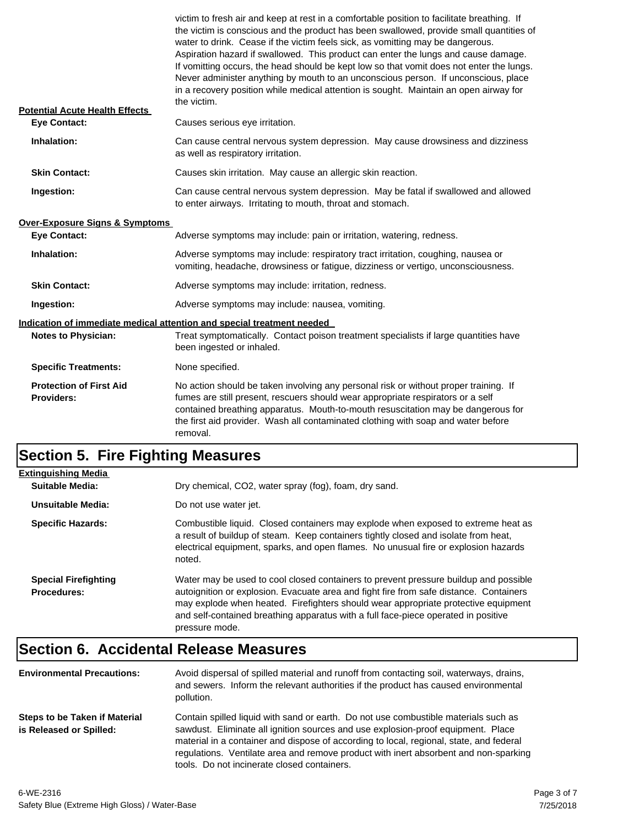| <b>Potential Acute Health Effects</b>               | victim to fresh air and keep at rest in a comfortable position to facilitate breathing. If<br>the victim is conscious and the product has been swallowed, provide small quantities of<br>water to drink. Cease if the victim feels sick, as vomitting may be dangerous.<br>Aspiration hazard if swallowed. This product can enter the lungs and cause damage.<br>If vomitting occurs, the head should be kept low so that vomit does not enter the lungs.<br>Never administer anything by mouth to an unconscious person. If unconscious, place<br>in a recovery position while medical attention is sought. Maintain an open airway for<br>the victim. |
|-----------------------------------------------------|---------------------------------------------------------------------------------------------------------------------------------------------------------------------------------------------------------------------------------------------------------------------------------------------------------------------------------------------------------------------------------------------------------------------------------------------------------------------------------------------------------------------------------------------------------------------------------------------------------------------------------------------------------|
| <b>Eye Contact:</b>                                 | Causes serious eye irritation.                                                                                                                                                                                                                                                                                                                                                                                                                                                                                                                                                                                                                          |
| Inhalation:                                         | Can cause central nervous system depression. May cause drowsiness and dizziness<br>as well as respiratory irritation.                                                                                                                                                                                                                                                                                                                                                                                                                                                                                                                                   |
| <b>Skin Contact:</b>                                | Causes skin irritation. May cause an allergic skin reaction.                                                                                                                                                                                                                                                                                                                                                                                                                                                                                                                                                                                            |
| Ingestion:                                          | Can cause central nervous system depression. May be fatal if swallowed and allowed<br>to enter airways. Irritating to mouth, throat and stomach.                                                                                                                                                                                                                                                                                                                                                                                                                                                                                                        |
| Over-Exposure Signs & Symptoms                      |                                                                                                                                                                                                                                                                                                                                                                                                                                                                                                                                                                                                                                                         |
| <b>Eye Contact:</b>                                 | Adverse symptoms may include: pain or irritation, watering, redness.                                                                                                                                                                                                                                                                                                                                                                                                                                                                                                                                                                                    |
| Inhalation:                                         | Adverse symptoms may include: respiratory tract irritation, coughing, nausea or<br>vomiting, headache, drowsiness or fatigue, dizziness or vertigo, unconsciousness.                                                                                                                                                                                                                                                                                                                                                                                                                                                                                    |
| <b>Skin Contact:</b>                                | Adverse symptoms may include: irritation, redness.                                                                                                                                                                                                                                                                                                                                                                                                                                                                                                                                                                                                      |
| Ingestion:                                          | Adverse symptoms may include: nausea, vomiting.                                                                                                                                                                                                                                                                                                                                                                                                                                                                                                                                                                                                         |
|                                                     | Indication of immediate medical attention and special treatment needed                                                                                                                                                                                                                                                                                                                                                                                                                                                                                                                                                                                  |
| <b>Notes to Physician:</b>                          | Treat symptomatically. Contact poison treatment specialists if large quantities have<br>been ingested or inhaled.                                                                                                                                                                                                                                                                                                                                                                                                                                                                                                                                       |
| <b>Specific Treatments:</b>                         | None specified.                                                                                                                                                                                                                                                                                                                                                                                                                                                                                                                                                                                                                                         |
| <b>Protection of First Aid</b><br><b>Providers:</b> | No action should be taken involving any personal risk or without proper training. If<br>fumes are still present, rescuers should wear appropriate respirators or a self<br>contained breathing apparatus. Mouth-to-mouth resuscitation may be dangerous for<br>the first aid provider. Wash all contaminated clothing with soap and water before<br>removal.                                                                                                                                                                                                                                                                                            |

#### **Section 5. Fire Fighting Measures**

| <b>Extinguishing Media</b>                        |                                                                                                                                                                                                                                                                                                                                                                              |
|---------------------------------------------------|------------------------------------------------------------------------------------------------------------------------------------------------------------------------------------------------------------------------------------------------------------------------------------------------------------------------------------------------------------------------------|
| Suitable Media:                                   | Dry chemical, CO2, water spray (fog), foam, dry sand.                                                                                                                                                                                                                                                                                                                        |
| Unsuitable Media:                                 | Do not use water jet.                                                                                                                                                                                                                                                                                                                                                        |
| <b>Specific Hazards:</b>                          | Combustible liquid. Closed containers may explode when exposed to extreme heat as<br>a result of buildup of steam. Keep containers tightly closed and isolate from heat,<br>electrical equipment, sparks, and open flames. No unusual fire or explosion hazards<br>noted.                                                                                                    |
| <b>Special Firefighting</b><br><b>Procedures:</b> | Water may be used to cool closed containers to prevent pressure buildup and possible<br>autoignition or explosion. Evacuate area and fight fire from safe distance. Containers<br>may explode when heated. Firefighters should wear appropriate protective equipment<br>and self-contained breathing apparatus with a full face-piece operated in positive<br>pressure mode. |

## **Section 6. Accidental Release Measures**

| <b>Environmental Precautions:</b>                        | Avoid dispersal of spilled material and runoff from contacting soil, waterways, drains,<br>and sewers. Inform the relevant authorities if the product has caused environmental<br>pollution.                                                                                                                                                                                                              |
|----------------------------------------------------------|-----------------------------------------------------------------------------------------------------------------------------------------------------------------------------------------------------------------------------------------------------------------------------------------------------------------------------------------------------------------------------------------------------------|
| Steps to be Taken if Material<br>is Released or Spilled: | Contain spilled liquid with sand or earth. Do not use combustible materials such as<br>sawdust. Eliminate all ignition sources and use explosion-proof equipment. Place<br>material in a container and dispose of according to local, regional, state, and federal<br>regulations. Ventilate area and remove product with inert absorbent and non-sparking<br>tools. Do not incinerate closed containers. |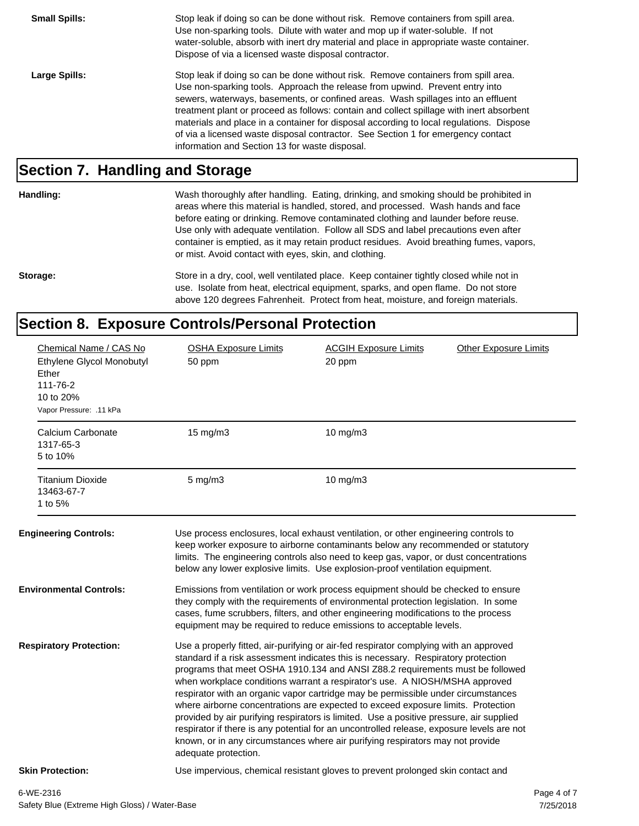**Small Spills:** Stop leak if doing so can be done without risk. Remove containers from spill area. Use non-sparking tools. Dilute with water and mop up if water-soluble. If not water-soluble, absorb with inert dry material and place in appropriate waste container. Dispose of via a licensed waste disposal contractor. Large Spills: Stop leak if doing so can be done without risk. Remove containers from spill area. Use non-sparking tools. Approach the release from upwind. Prevent entry into sewers, waterways, basements, or confined areas. Wash spillages into an effluent treatment plant or proceed as follows: contain and collect spillage with inert absorbent materials and place in a container for disposal according to local regulations. Dispose of via a licensed waste disposal contractor. See Section 1 for emergency contact information and Section 13 for waste disposal.

#### **Section 7. Handling and Storage**

**Handling:** Wash thoroughly after handling. Eating, drinking, and smoking should be prohibited in areas where this material is handled, stored, and processed. Wash hands and face before eating or drinking. Remove contaminated clothing and launder before reuse. Use only with adequate ventilation. Follow all SDS and label precautions even after container is emptied, as it may retain product residues. Avoid breathing fumes, vapors, or mist. Avoid contact with eyes, skin, and clothing.

Storage: Store in a dry, cool, well ventilated place. Keep container tightly closed while not in use. Isolate from heat, electrical equipment, sparks, and open flame. Do not store above 120 degrees Fahrenheit. Protect from heat, moisture, and foreign materials.

#### **Section 8. Exposure Controls/Personal Protection**

| Chemical Name / CAS No<br>Ethylene Glycol Monobutyl                                                                                                                                                                                                                                                                                                                                                                                                                                                                                                                                                                                                                                                                                                                                                                                                     |  | <b>OSHA Exposure Limits</b><br>50 ppm                                                                                                                                                                                                                                                                                               | <b>ACGIH Exposure Limits</b><br>20 ppm                                                                                                                                                                                                                                                                                                           | <b>Other Exposure Limits</b> |
|---------------------------------------------------------------------------------------------------------------------------------------------------------------------------------------------------------------------------------------------------------------------------------------------------------------------------------------------------------------------------------------------------------------------------------------------------------------------------------------------------------------------------------------------------------------------------------------------------------------------------------------------------------------------------------------------------------------------------------------------------------------------------------------------------------------------------------------------------------|--|-------------------------------------------------------------------------------------------------------------------------------------------------------------------------------------------------------------------------------------------------------------------------------------------------------------------------------------|--------------------------------------------------------------------------------------------------------------------------------------------------------------------------------------------------------------------------------------------------------------------------------------------------------------------------------------------------|------------------------------|
| Ether<br>111-76-2<br>10 to 20%<br>Vapor Pressure: .11 kPa                                                                                                                                                                                                                                                                                                                                                                                                                                                                                                                                                                                                                                                                                                                                                                                               |  |                                                                                                                                                                                                                                                                                                                                     |                                                                                                                                                                                                                                                                                                                                                  |                              |
| Calcium Carbonate<br>1317-65-3<br>5 to 10%                                                                                                                                                                                                                                                                                                                                                                                                                                                                                                                                                                                                                                                                                                                                                                                                              |  | 15 mg/m3                                                                                                                                                                                                                                                                                                                            | 10 mg/m3                                                                                                                                                                                                                                                                                                                                         |                              |
| <b>Titanium Dioxide</b><br>13463-67-7<br>1 to 5%                                                                                                                                                                                                                                                                                                                                                                                                                                                                                                                                                                                                                                                                                                                                                                                                        |  | $5 \text{ mg/m}$ 3                                                                                                                                                                                                                                                                                                                  | 10 $mg/m3$                                                                                                                                                                                                                                                                                                                                       |                              |
| <b>Engineering Controls:</b>                                                                                                                                                                                                                                                                                                                                                                                                                                                                                                                                                                                                                                                                                                                                                                                                                            |  |                                                                                                                                                                                                                                                                                                                                     | Use process enclosures, local exhaust ventilation, or other engineering controls to<br>keep worker exposure to airborne contaminants below any recommended or statutory<br>limits. The engineering controls also need to keep gas, vapor, or dust concentrations<br>below any lower explosive limits. Use explosion-proof ventilation equipment. |                              |
| <b>Environmental Controls:</b>                                                                                                                                                                                                                                                                                                                                                                                                                                                                                                                                                                                                                                                                                                                                                                                                                          |  | Emissions from ventilation or work process equipment should be checked to ensure<br>they comply with the requirements of environmental protection legislation. In some<br>cases, fume scrubbers, filters, and other engineering modifications to the process<br>equipment may be required to reduce emissions to acceptable levels. |                                                                                                                                                                                                                                                                                                                                                  |                              |
| <b>Respiratory Protection:</b><br>Use a properly fitted, air-purifying or air-fed respirator complying with an approved<br>standard if a risk assessment indicates this is necessary. Respiratory protection<br>programs that meet OSHA 1910.134 and ANSI Z88.2 requirements must be followed<br>when workplace conditions warrant a respirator's use. A NIOSH/MSHA approved<br>respirator with an organic vapor cartridge may be permissible under circumstances<br>where airborne concentrations are expected to exceed exposure limits. Protection<br>provided by air purifying respirators is limited. Use a positive pressure, air supplied<br>respirator if there is any potential for an uncontrolled release, exposure levels are not<br>known, or in any circumstances where air purifying respirators may not provide<br>adequate protection. |  |                                                                                                                                                                                                                                                                                                                                     |                                                                                                                                                                                                                                                                                                                                                  |                              |
| <b>Skin Protection:</b>                                                                                                                                                                                                                                                                                                                                                                                                                                                                                                                                                                                                                                                                                                                                                                                                                                 |  |                                                                                                                                                                                                                                                                                                                                     | Use impervious, chemical resistant gloves to prevent prolonged skin contact and                                                                                                                                                                                                                                                                  |                              |
| 6-WE-2316                                                                                                                                                                                                                                                                                                                                                                                                                                                                                                                                                                                                                                                                                                                                                                                                                                               |  |                                                                                                                                                                                                                                                                                                                                     |                                                                                                                                                                                                                                                                                                                                                  | Page 4 of 7                  |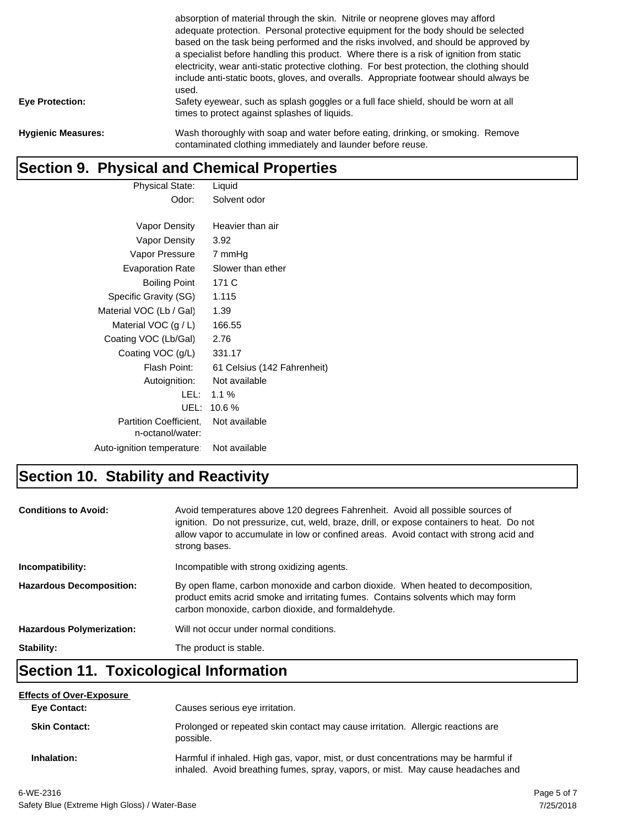|                           | absorption of material through the skin. Nitrile or neoprene gloves may afford<br>adequate protection. Personal protective equipment for the body should be selected<br>based on the task being performed and the risks involved, and should be approved by<br>a specialist before handling this product. Where there is a risk of ignition from static<br>electricity, wear anti-static protective clothing. For best protection, the clothing should<br>include anti-static boots, gloves, and overalls. Appropriate footwear should always be<br>used. |
|---------------------------|-----------------------------------------------------------------------------------------------------------------------------------------------------------------------------------------------------------------------------------------------------------------------------------------------------------------------------------------------------------------------------------------------------------------------------------------------------------------------------------------------------------------------------------------------------------|
| <b>Eye Protection:</b>    | Safety eyewear, such as splash goggles or a full face shield, should be worn at all<br>times to protect against splashes of liquids.                                                                                                                                                                                                                                                                                                                                                                                                                      |
| <b>Hygienic Measures:</b> | Wash thoroughly with soap and water before eating, drinking, or smoking. Remove<br>contaminated clothing immediately and launder before reuse.                                                                                                                                                                                                                                                                                                                                                                                                            |

## **Section 9. Physical and Chemical Properties**

| <b>Physical State:</b>     | Liquid                      |
|----------------------------|-----------------------------|
| Odor:                      | Solvent odor                |
|                            |                             |
| Vapor Density              | Heavier than air            |
| Vapor Density              | 3.92                        |
| Vapor Pressure             | 7 mmHg                      |
| <b>Evaporation Rate</b>    | Slower than ether           |
| <b>Boiling Point</b>       | 171 C                       |
| Specific Gravity (SG)      | 1.115                       |
| Material VOC (Lb / Gal)    | 1.39                        |
| Material VOC $(g / L)$     | 166.55                      |
| Coating VOC (Lb/Gal)       | 2.76                        |
| Coating VOC (g/L)          | 331.17                      |
| Flash Point:               | 61 Celsius (142 Fahrenheit) |
| Autoignition:              | Not available               |
| LEL:                       | $1.1\%$                     |
| UEL:                       | 10.6 %                      |
| Partition Coefficient,     | Not available               |
| n-octanol/water:           |                             |
| Auto-ignition temperature: | Not available               |

# **Section 10. Stability and Reactivity**

| <b>Conditions to Avoid:</b>      | Avoid temperatures above 120 degrees Fahrenheit. Avoid all possible sources of<br>ignition. Do not pressurize, cut, weld, braze, drill, or expose containers to heat. Do not<br>allow vapor to accumulate in low or confined areas. Avoid contact with strong acid and<br>strong bases. |
|----------------------------------|-----------------------------------------------------------------------------------------------------------------------------------------------------------------------------------------------------------------------------------------------------------------------------------------|
| Incompatibility:                 | Incompatible with strong oxidizing agents.                                                                                                                                                                                                                                              |
| <b>Hazardous Decomposition:</b>  | By open flame, carbon monoxide and carbon dioxide. When heated to decomposition,<br>product emits acrid smoke and irritating fumes. Contains solvents which may form<br>carbon monoxide, carbon dioxide, and formaldehyde.                                                              |
| <b>Hazardous Polymerization:</b> | Will not occur under normal conditions.                                                                                                                                                                                                                                                 |
| Stability:                       | The product is stable.                                                                                                                                                                                                                                                                  |

#### **Section 11. Toxicological Information**

| <b>Effects of Over-Exposure</b> |                                                                                                                                                                        |
|---------------------------------|------------------------------------------------------------------------------------------------------------------------------------------------------------------------|
| <b>Eve Contact:</b>             | Causes serious eye irritation.                                                                                                                                         |
| <b>Skin Contact:</b>            | Prolonged or repeated skin contact may cause irritation. Allergic reactions are<br>possible.                                                                           |
| Inhalation:                     | Harmful if inhaled. High gas, vapor, mist, or dust concentrations may be harmful if<br>inhaled. Avoid breathing fumes, spray, vapors, or mist. May cause headaches and |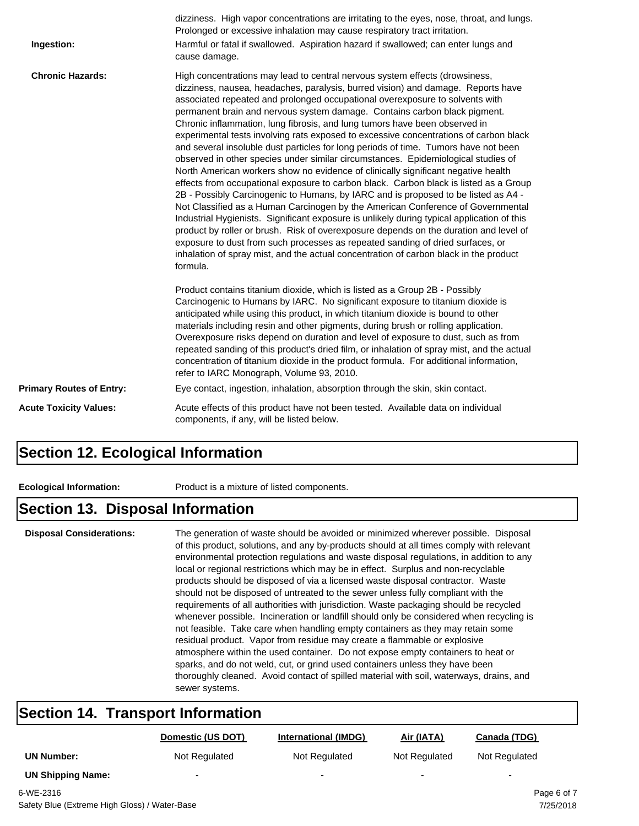| Ingestion:                      | dizziness. High vapor concentrations are irritating to the eyes, nose, throat, and lungs.<br>Prolonged or excessive inhalation may cause respiratory tract irritation.<br>Harmful or fatal if swallowed. Aspiration hazard if swallowed; can enter lungs and<br>cause damage.                                                                                                                                                                                                                                                                                                                                                                                                                                                                                                                                                                                                                                                                                                                                                                                                                                                                                                                                                                                                                                                                                                                                        |
|---------------------------------|----------------------------------------------------------------------------------------------------------------------------------------------------------------------------------------------------------------------------------------------------------------------------------------------------------------------------------------------------------------------------------------------------------------------------------------------------------------------------------------------------------------------------------------------------------------------------------------------------------------------------------------------------------------------------------------------------------------------------------------------------------------------------------------------------------------------------------------------------------------------------------------------------------------------------------------------------------------------------------------------------------------------------------------------------------------------------------------------------------------------------------------------------------------------------------------------------------------------------------------------------------------------------------------------------------------------------------------------------------------------------------------------------------------------|
| <b>Chronic Hazards:</b>         | High concentrations may lead to central nervous system effects (drowsiness,<br>dizziness, nausea, headaches, paralysis, burred vision) and damage. Reports have<br>associated repeated and prolonged occupational overexposure to solvents with<br>permanent brain and nervous system damage. Contains carbon black pigment.<br>Chronic inflammation, lung fibrosis, and lung tumors have been observed in<br>experimental tests involving rats exposed to excessive concentrations of carbon black<br>and several insoluble dust particles for long periods of time. Tumors have not been<br>observed in other species under similar circumstances. Epidemiological studies of<br>North American workers show no evidence of clinically significant negative health<br>effects from occupational exposure to carbon black. Carbon black is listed as a Group<br>2B - Possibly Carcinogenic to Humans, by IARC and is proposed to be listed as A4 -<br>Not Classified as a Human Carcinogen by the American Conference of Governmental<br>Industrial Hygienists. Significant exposure is unlikely during typical application of this<br>product by roller or brush. Risk of overexposure depends on the duration and level of<br>exposure to dust from such processes as repeated sanding of dried surfaces, or<br>inhalation of spray mist, and the actual concentration of carbon black in the product<br>formula. |
|                                 | Product contains titanium dioxide, which is listed as a Group 2B - Possibly<br>Carcinogenic to Humans by IARC. No significant exposure to titanium dioxide is<br>anticipated while using this product, in which titanium dioxide is bound to other<br>materials including resin and other pigments, during brush or rolling application.<br>Overexposure risks depend on duration and level of exposure to dust, such as from<br>repeated sanding of this product's dried film, or inhalation of spray mist, and the actual<br>concentration of titanium dioxide in the product formula. For additional information,<br>refer to IARC Monograph, Volume 93, 2010.                                                                                                                                                                                                                                                                                                                                                                                                                                                                                                                                                                                                                                                                                                                                                    |
| <b>Primary Routes of Entry:</b> | Eye contact, ingestion, inhalation, absorption through the skin, skin contact.                                                                                                                                                                                                                                                                                                                                                                                                                                                                                                                                                                                                                                                                                                                                                                                                                                                                                                                                                                                                                                                                                                                                                                                                                                                                                                                                       |
| <b>Acute Toxicity Values:</b>   | Acute effects of this product have not been tested. Available data on individual<br>components, if any, will be listed below.                                                                                                                                                                                                                                                                                                                                                                                                                                                                                                                                                                                                                                                                                                                                                                                                                                                                                                                                                                                                                                                                                                                                                                                                                                                                                        |

#### **Section 12. Ecological Information**

**Ecological Information:** Product is a mixture of listed components.

#### **Section 13. Disposal Information**

**Disposal Considerations:** The generation of waste should be avoided or minimized wherever possible. Disposal of this product, solutions, and any by-products should at all times comply with relevant environmental protection regulations and waste disposal regulations, in addition to any local or regional restrictions which may be in effect. Surplus and non-recyclable products should be disposed of via a licensed waste disposal contractor. Waste should not be disposed of untreated to the sewer unless fully compliant with the requirements of all authorities with jurisdiction. Waste packaging should be recycled whenever possible. Incineration or landfill should only be considered when recycling is not feasible. Take care when handling empty containers as they may retain some residual product. Vapor from residue may create a flammable or explosive atmosphere within the used container. Do not expose empty containers to heat or sparks, and do not weld, cut, or grind used containers unless they have been thoroughly cleaned. Avoid contact of spilled material with soil, waterways, drains, and sewer systems.

#### **Section 14. Transport Information**

|                          | Domestic (US DOT)        | <b>International (IMDG)</b> | Air (IATA)    | Canada (TDG)             |
|--------------------------|--------------------------|-----------------------------|---------------|--------------------------|
| <b>UN Number:</b>        | Not Regulated            | Not Regulated               | Not Regulated | Not Regulated            |
| <b>UN Shipping Name:</b> | $\overline{\phantom{0}}$ | -                           | -             | $\overline{\phantom{0}}$ |
| 6-WE-2316                |                          |                             |               | Page 6 of 7              |